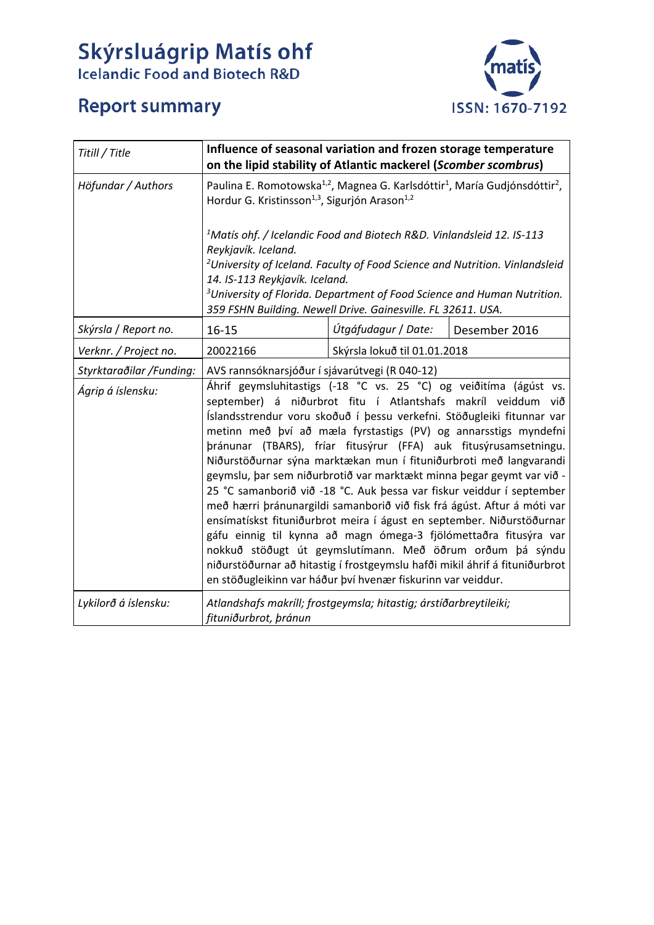## Skýrsluágrip Matís ohf<br>Icelandic Food and Biotech R&D

## **Report summary**



| Titill / Title                                | Influence of seasonal variation and frozen storage temperature<br>on the lipid stability of Atlantic mackerel (Scomber scombrus)                                                                                                                                                                                                                                                                                                                                                                                                                                                                                                                                                                                                                                                                                                                                                                                                                                                                                                                                 |                              |               |
|-----------------------------------------------|------------------------------------------------------------------------------------------------------------------------------------------------------------------------------------------------------------------------------------------------------------------------------------------------------------------------------------------------------------------------------------------------------------------------------------------------------------------------------------------------------------------------------------------------------------------------------------------------------------------------------------------------------------------------------------------------------------------------------------------------------------------------------------------------------------------------------------------------------------------------------------------------------------------------------------------------------------------------------------------------------------------------------------------------------------------|------------------------------|---------------|
| Höfundar / Authors                            | Paulina E. Romotowska <sup>1,2</sup> , Magnea G. Karlsdóttir <sup>1</sup> , María Gudjónsdóttir <sup>2</sup> ,<br>Hordur G. Kristinsson <sup>1,3</sup> , Sigurjón Arason <sup>1,2</sup>                                                                                                                                                                                                                                                                                                                                                                                                                                                                                                                                                                                                                                                                                                                                                                                                                                                                          |                              |               |
|                                               | <sup>1</sup> Matís ohf. / Icelandic Food and Biotech R&D. Vinlandsleid 12. IS-113<br>Reykjavík. Iceland.<br><sup>2</sup> University of Iceland. Faculty of Food Science and Nutrition. Vinlandsleid<br>14. IS-113 Reykjavík. Iceland.<br><sup>3</sup> University of Florida. Department of Food Science and Human Nutrition.<br>359 FSHN Building. Newell Drive. Gainesville. FL 32611. USA.                                                                                                                                                                                                                                                                                                                                                                                                                                                                                                                                                                                                                                                                     |                              |               |
| Skýrsla / Report no.                          | $16 - 15$                                                                                                                                                                                                                                                                                                                                                                                                                                                                                                                                                                                                                                                                                                                                                                                                                                                                                                                                                                                                                                                        | Útgáfudagur / Date:          | Desember 2016 |
| Verknr. / Project no.                         | 20022166                                                                                                                                                                                                                                                                                                                                                                                                                                                                                                                                                                                                                                                                                                                                                                                                                                                                                                                                                                                                                                                         | Skýrsla lokuð til 01.01.2018 |               |
| Styrktaraðilar /Funding:<br>Ágrip á íslensku: | AVS rannsóknarsjóður í sjávarútvegi (R 040-12)<br>Áhrif geymsluhitastigs (-18 °C vs. 25 °C) og veiðitíma (ágúst vs.<br>september) á niðurbrot fitu í Atlantshafs makríl veiddum við<br>Íslandsstrendur voru skoðuð í þessu verkefni. Stöðugleiki fitunnar var<br>metinn með því að mæla fyrstastigs (PV) og annarsstigs myndefni<br>þránunar (TBARS), fríar fitusýrur (FFA) auk fitusýrusamsetningu.<br>Niðurstöðurnar sýna marktækan mun í fituniðurbroti með langvarandi<br>geymslu, þar sem niðurbrotið var marktækt minna þegar geymt var við -<br>25 °C samanborið við -18 °C. Auk þessa var fiskur veiddur í september<br>með hærri þránunargildi samanborið við fisk frá ágúst. Aftur á móti var<br>ensímatískst fituniðurbrot meira í águst en september. Niðurstöðurnar<br>gáfu einnig til kynna að magn ómega-3 fjölómettaðra fitusýra var<br>nokkuð stöðugt út geymslutímann. Með öðrum orðum þá sýndu<br>niðurstöðurnar að hitastig í frostgeymslu hafði mikil áhrif á fituniðurbrot<br>en stöðugleikinn var háður því hvenær fiskurinn var veiddur. |                              |               |
| Lykilorð á íslensku:                          | Atlandshafs makríll; frostgeymsla; hitastig; árstíðarbreytileiki;<br>fituniðurbrot, þránun                                                                                                                                                                                                                                                                                                                                                                                                                                                                                                                                                                                                                                                                                                                                                                                                                                                                                                                                                                       |                              |               |